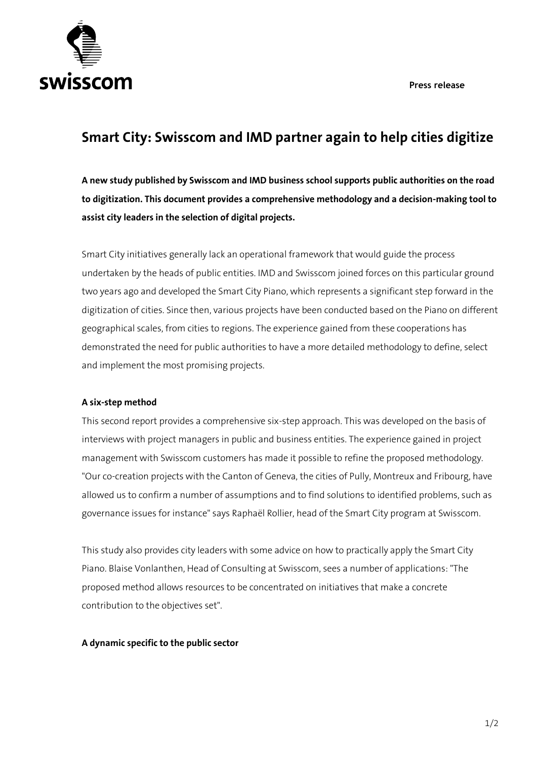**Press release**



## **Smart City: Swisscom and IMD partner again to help cities digitize**

**A new study published by Swisscom and IMD business school supports public authorities on the road to digitization. This document provides a comprehensive methodology and a decision-making tool to assist city leaders in the selection of digital projects.**

Smart City initiatives generally lack an operational framework that would guide the process undertaken by the heads of public entities. IMD and Swisscom joined forces on this particular ground two years ago and developed the Smart City Piano, which represents a significant step forward in the digitization of cities. Since then, various projects have been conducted based on the Piano on different geographical scales, from cities to regions. The experience gained from these cooperations has demonstrated the need for public authorities to have a more detailed methodology to define, select and implement the most promising projects.

## **A six-step method**

This second report provides a comprehensive six-step approach. This was developed on the basis of interviews with project managers in public and business entities. The experience gained in project management with Swisscom customers has made it possible to refine the proposed methodology. "Our co-creation projects with the Canton of Geneva, the cities of Pully, Montreux and Fribourg, have allowed us to confirm a number of assumptions and to find solutions to identified problems, such as governance issues for instance" says Raphaël Rollier, head of the Smart City program at Swisscom.

This study also provides city leaders with some advice on how to practically apply the Smart City Piano. Blaise Vonlanthen, Head of Consulting at Swisscom, sees a number of applications: "The proposed method allows resources to be concentrated on initiatives that make a concrete contribution to the objectives set".

## **A dynamic specific to the public sector**